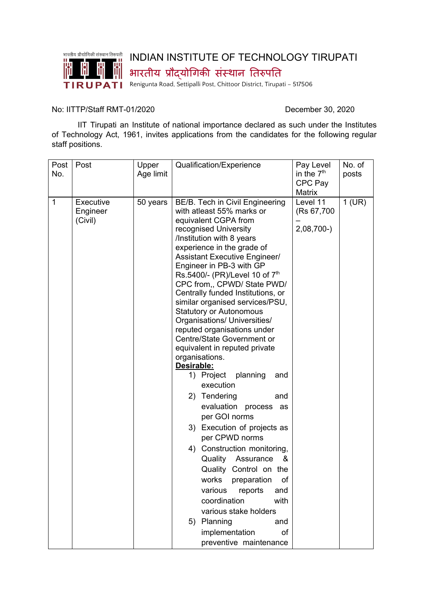

## INDIAN INSTITUTE OF TECHNOLOGY TIRUPATI

भारतीय प्रौद्योगिकी संस्थान तिरुपति

TIRUPATI Renigunta Road, Settipalli Post, Chittoor District, Tirupati - 517506

## No: IITTP/Staff RMT-01/2020 December 30, 2020

IIT Tirupati an Institute of national importance declared as such under the Institutes of Technology Act, 1961, invites applications from the candidates for the following regular staff positions.

| Post<br>No.  | Post                             | Upper<br>Age limit | Qualification/Experience                                                                                                                                                                                                                                                                                                                                                                                                                                                                                                                                                                                                                                                                                                                                                                                                                                                                                                                                                                                                       | Pay Level<br>in the $7th$<br>CPC Pay             | No. of<br>posts |
|--------------|----------------------------------|--------------------|--------------------------------------------------------------------------------------------------------------------------------------------------------------------------------------------------------------------------------------------------------------------------------------------------------------------------------------------------------------------------------------------------------------------------------------------------------------------------------------------------------------------------------------------------------------------------------------------------------------------------------------------------------------------------------------------------------------------------------------------------------------------------------------------------------------------------------------------------------------------------------------------------------------------------------------------------------------------------------------------------------------------------------|--------------------------------------------------|-----------------|
| $\mathbf{1}$ | Executive<br>Engineer<br>(Civil) | 50 years           | BE/B. Tech in Civil Engineering<br>with atleast 55% marks or<br>equivalent CGPA from<br>recognised University<br>/Institution with 8 years<br>experience in the grade of<br><b>Assistant Executive Engineer/</b><br>Engineer in PB-3 with GP<br>Rs.5400/- (PR)/Level 10 of $7th$<br>CPC from,, CPWD/ State PWD/<br>Centrally funded Institutions, or<br>similar organised services/PSU,<br><b>Statutory or Autonomous</b><br>Organisations/ Universities/<br>reputed organisations under<br>Centre/State Government or<br>equivalent in reputed private<br>organisations.<br>Desirable:<br>1) Project planning<br>and<br>execution<br>2) Tendering<br>and<br>evaluation process as<br>per GOI norms<br>3) Execution of projects as<br>per CPWD norms<br>4) Construction monitoring,<br>Quality<br>Assurance<br>&<br>Quality Control on the<br>works<br>of<br>preparation<br>various<br>reports<br>and<br>coordination<br>with<br>various stake holders<br>5) Planning<br>and<br>implementation<br>of<br>preventive maintenance | Matrix<br>Level 11<br>(Rs 67,700)<br>$2,08,700-$ | $1$ (UR)        |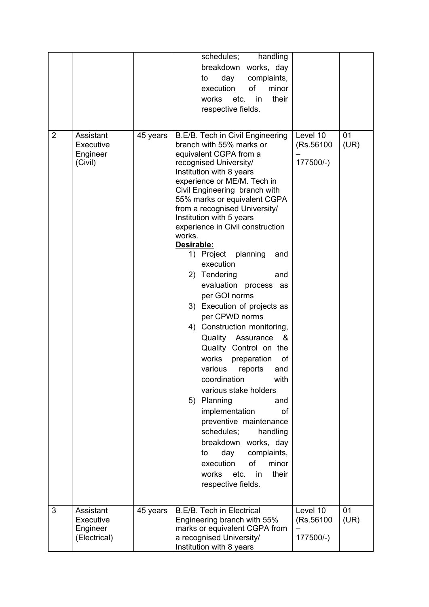|                |                       |          | handling<br>schedules;                                       |            |      |
|----------------|-----------------------|----------|--------------------------------------------------------------|------------|------|
|                |                       |          | breakdown works, day                                         |            |      |
|                |                       |          | day<br>complaints,<br>to                                     |            |      |
|                |                       |          | execution<br>of<br>minor                                     |            |      |
|                |                       |          | works etc.<br>their<br>in                                    |            |      |
|                |                       |          | respective fields.                                           |            |      |
|                |                       |          |                                                              |            |      |
|                |                       |          |                                                              |            |      |
| $\overline{2}$ | Assistant             | 45 years | B.E/B. Tech in Civil Engineering<br>branch with 55% marks or | Level 10   | 01   |
|                | Executive<br>Engineer |          | equivalent CGPA from a                                       | (Rs.56100) | (UR) |
|                | (Civil)               |          | recognised University/                                       | 177500/-)  |      |
|                |                       |          | Institution with 8 years                                     |            |      |
|                |                       |          | experience or ME/M. Tech in                                  |            |      |
|                |                       |          | Civil Engineering branch with                                |            |      |
|                |                       |          | 55% marks or equivalent CGPA                                 |            |      |
|                |                       |          | from a recognised University/                                |            |      |
|                |                       |          | Institution with 5 years                                     |            |      |
|                |                       |          | experience in Civil construction                             |            |      |
|                |                       |          | works.<br>Desirable:                                         |            |      |
|                |                       |          | 1) Project planning<br>and                                   |            |      |
|                |                       |          | execution                                                    |            |      |
|                |                       |          | 2) Tendering<br>and                                          |            |      |
|                |                       |          | evaluation<br>process as                                     |            |      |
|                |                       |          | per GOI norms                                                |            |      |
|                |                       |          |                                                              |            |      |
|                |                       |          | 3) Execution of projects as                                  |            |      |
|                |                       |          | per CPWD norms                                               |            |      |
|                |                       |          | 4) Construction monitoring,                                  |            |      |
|                |                       |          | Quality<br>Assurance<br>&                                    |            |      |
|                |                       |          | Quality Control on the                                       |            |      |
|                |                       |          | works<br>of<br>preparation                                   |            |      |
|                |                       |          | various<br>reports<br>and                                    |            |      |
|                |                       |          | coordination<br>with                                         |            |      |
|                |                       |          | various stake holders                                        |            |      |
|                |                       |          | 5) Planning<br>and                                           |            |      |
|                |                       |          | implementation<br>οf                                         |            |      |
|                |                       |          | preventive maintenance                                       |            |      |
|                |                       |          | schedules;<br>handling                                       |            |      |
|                |                       |          | breakdown works, day                                         |            |      |
|                |                       |          | day<br>complaints,<br>to                                     |            |      |
|                |                       |          | of<br>minor<br>execution                                     |            |      |
|                |                       |          | works etc.<br>their<br>in                                    |            |      |
|                |                       |          | respective fields.                                           |            |      |
|                |                       |          |                                                              |            |      |
| 3              | Assistant             | 45 years | <b>B.E/B. Tech in Electrical</b>                             | Level 10   | 01   |
|                | Executive             |          | Engineering branch with 55%                                  | (Rs.56100) | (UR) |
|                | Engineer              |          | marks or equivalent CGPA from                                |            |      |
|                | (Electrical)          |          | a recognised University/                                     | 177500/-)  |      |
|                |                       |          | Institution with 8 years                                     |            |      |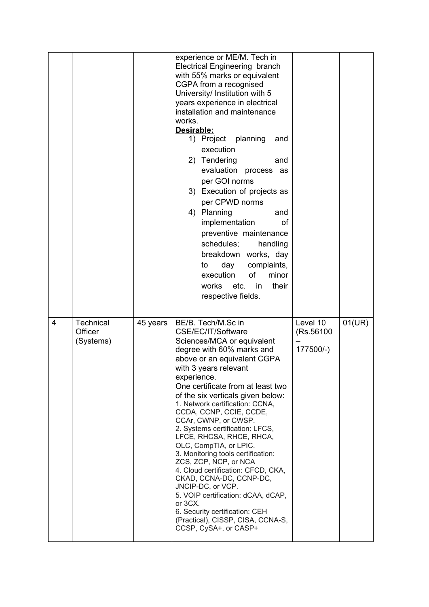|                |                                   |          | experience or ME/M. Tech in<br><b>Electrical Engineering branch</b><br>with 55% marks or equivalent<br>CGPA from a recognised<br>University/ Institution with 5<br>years experience in electrical<br>installation and maintenance<br>works.<br>Desirable:<br>planning<br>1) Project<br>and<br>execution<br>2) Tendering<br>and<br>evaluation process as<br>per GOI norms<br>3) Execution of projects as<br>per CPWD norms<br>4) Planning<br>and<br>implementation<br>οf<br>preventive maintenance<br>schedules;<br>handling<br>breakdown works, day<br>complaints,<br>day<br>to<br>of<br>execution<br>minor<br>works etc.<br>their<br><i>in</i><br>respective fields.                                                                     |                                     |        |
|----------------|-----------------------------------|----------|-------------------------------------------------------------------------------------------------------------------------------------------------------------------------------------------------------------------------------------------------------------------------------------------------------------------------------------------------------------------------------------------------------------------------------------------------------------------------------------------------------------------------------------------------------------------------------------------------------------------------------------------------------------------------------------------------------------------------------------------|-------------------------------------|--------|
| $\overline{4}$ | Technical<br>Officer<br>(Systems) | 45 years | BE/B. Tech/M.Sc in<br>CSE/EC/IT/Software<br>Sciences/MCA or equivalent<br>degree with 60% marks and<br>above or an equivalent CGPA<br>with 3 years relevant<br>experience.<br>One certificate from at least two<br>of the six verticals given below:<br>1. Network certification: CCNA,<br>CCDA, CCNP, CCIE, CCDE,<br>CCAr, CWNP, or CWSP.<br>2. Systems certification: LFCS,<br>LFCE, RHCSA, RHCE, RHCA,<br>OLC, CompTIA, or LPIC.<br>3. Monitoring tools certification:<br>ZCS, ZCP, NCP, or NCA<br>4. Cloud certification: CFCD, CKA,<br>CKAD, CCNA-DC, CCNP-DC,<br>JNCIP-DC, or VCP.<br>5. VOIP certification: dCAA, dCAP,<br>or 3CX.<br>6. Security certification: CEH<br>(Practical), CISSP, CISA, CCNA-S,<br>CCSP, CySA+, or CASP+ | Level 10<br>(Rs.56100)<br>177500/-) | 01(UR) |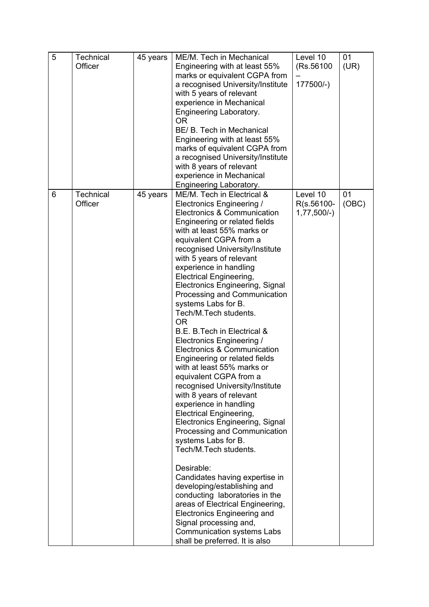| 5 | <b>Technical</b><br>Officer | 45 years | ME/M. Tech in Mechanical<br>Engineering with at least 55%<br>marks or equivalent CGPA from<br>a recognised University/Institute<br>with 5 years of relevant<br>experience in Mechanical<br>Engineering Laboratory.<br><b>OR</b><br>BE/ B. Tech in Mechanical<br>Engineering with at least 55%<br>marks of equivalent CGPA from<br>a recognised University/Institute<br>with 8 years of relevant<br>experience in Mechanical<br>Engineering Laboratory.                                                                                                                                                                                                                                                                                                                                                                                                                                                                                                                                                                                                                                                                                                                   | Level 10<br>(Rs.56100)<br>177500/-)    | 01<br>(UR)  |
|---|-----------------------------|----------|--------------------------------------------------------------------------------------------------------------------------------------------------------------------------------------------------------------------------------------------------------------------------------------------------------------------------------------------------------------------------------------------------------------------------------------------------------------------------------------------------------------------------------------------------------------------------------------------------------------------------------------------------------------------------------------------------------------------------------------------------------------------------------------------------------------------------------------------------------------------------------------------------------------------------------------------------------------------------------------------------------------------------------------------------------------------------------------------------------------------------------------------------------------------------|----------------------------------------|-------------|
| 6 | <b>Technical</b><br>Officer | 45 years | ME/M. Tech in Electrical &<br>Electronics Engineering /<br>Electronics & Communication<br>Engineering or related fields<br>with at least 55% marks or<br>equivalent CGPA from a<br>recognised University/Institute<br>with 5 years of relevant<br>experience in handling<br><b>Electrical Engineering,</b><br>Electronics Engineering, Signal<br>Processing and Communication<br>systems Labs for B.<br>Tech/M.Tech students.<br><b>OR</b><br>B.E. B.Tech in Electrical &<br>Electronics Engineering /<br>Electronics & Communication<br>Engineering or related fields<br>with at least 55% marks or<br>equivalent CGPA from a<br>recognised University/Institute<br>with 8 years of relevant<br>experience in handling<br><b>Electrical Engineering,</b><br>Electronics Engineering, Signal<br>Processing and Communication<br>systems Labs for B.<br>Tech/M.Tech students.<br>Desirable:<br>Candidates having expertise in<br>developing/establishing and<br>conducting laboratories in the<br>areas of Electrical Engineering,<br><b>Electronics Engineering and</b><br>Signal processing and,<br><b>Communication systems Labs</b><br>shall be preferred. It is also | Level 10<br>R(s.56100-<br>$1,77,500/-$ | 01<br>(OBC) |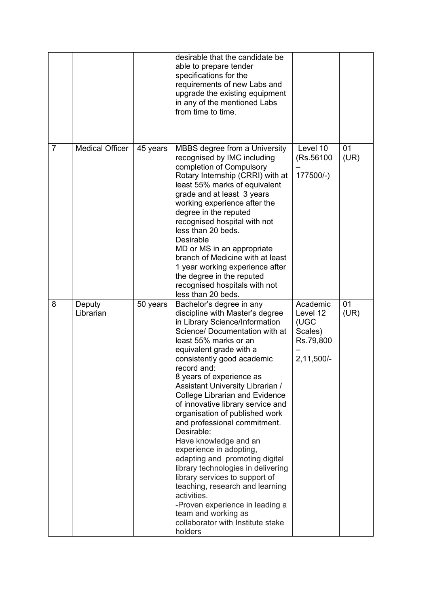|                |                        |          | desirable that the candidate be<br>able to prepare tender<br>specifications for the<br>requirements of new Labs and<br>upgrade the existing equipment<br>in any of the mentioned Labs<br>from time to time.                                                                                                                                                                                                                                                                                                                                                                                                                                                                                                                                                                              |                                                                      |            |
|----------------|------------------------|----------|------------------------------------------------------------------------------------------------------------------------------------------------------------------------------------------------------------------------------------------------------------------------------------------------------------------------------------------------------------------------------------------------------------------------------------------------------------------------------------------------------------------------------------------------------------------------------------------------------------------------------------------------------------------------------------------------------------------------------------------------------------------------------------------|----------------------------------------------------------------------|------------|
| $\overline{7}$ | <b>Medical Officer</b> | 45 years | MBBS degree from a University<br>recognised by IMC including<br>completion of Compulsory<br>Rotary Internship (CRRI) with at<br>least 55% marks of equivalent<br>grade and at least 3 years<br>working experience after the<br>degree in the reputed<br>recognised hospital with not<br>less than 20 beds.<br>Desirable<br>MD or MS in an appropriate<br>branch of Medicine with at least<br>1 year working experience after<br>the degree in the reputed<br>recognised hospitals with not<br>less than 20 beds.                                                                                                                                                                                                                                                                         | Level 10<br>(Rs.56100<br>177500/-)                                   | 01<br>(UR) |
| 8              | Deputy<br>Librarian    | 50 years | Bachelor's degree in any<br>discipline with Master's degree<br>in Library Science/Information<br>Science/ Documentation with at<br>least 55% marks or an<br>equivalent grade with a<br>consistently good academic<br>record and:<br>8 years of experience as<br>Assistant University Librarian /<br><b>College Librarian and Evidence</b><br>of innovative library service and<br>organisation of published work<br>and professional commitment.<br>Desirable:<br>Have knowledge and an<br>experience in adopting,<br>adapting and promoting digital<br>library technologies in delivering<br>library services to support of<br>teaching, research and learning<br>activities.<br>-Proven experience in leading a<br>team and working as<br>collaborator with Institute stake<br>holders | Academic<br>Level 12<br>(UGC<br>Scales)<br>Rs.79,800<br>$2,11,500/-$ | 01<br>(UR) |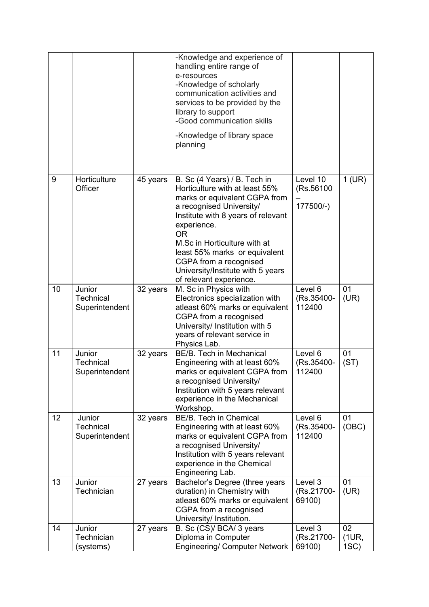|    |                                              |          | -Knowledge and experience of<br>handling entire range of<br>e-resources<br>-Knowledge of scholarly<br>communication activities and<br>services to be provided by the<br>library to support<br>-Good communication skills<br>-Knowledge of library space<br>planning                                                                                      |                                     |                    |
|----|----------------------------------------------|----------|----------------------------------------------------------------------------------------------------------------------------------------------------------------------------------------------------------------------------------------------------------------------------------------------------------------------------------------------------------|-------------------------------------|--------------------|
| 9  | Horticulture<br>Officer                      | 45 years | B. Sc (4 Years) / B. Tech in<br>Horticulture with at least 55%<br>marks or equivalent CGPA from<br>a recognised University/<br>Institute with 8 years of relevant<br>experience.<br><b>OR</b><br>M.Sc in Horticulture with at<br>least 55% marks or equivalent<br>CGPA from a recognised<br>University/Institute with 5 years<br>of relevant experience. | Level 10<br>(Rs.56100)<br>177500/-) | $1$ (UR)           |
| 10 | Junior<br><b>Technical</b><br>Superintendent | 32 years | M. Sc in Physics with<br>Electronics specialization with<br>atleast 60% marks or equivalent<br>CGPA from a recognised<br>University/ Institution with 5<br>years of relevant service in<br>Physics Lab.                                                                                                                                                  | Level 6<br>(Rs.35400-<br>112400     | 01<br>(UR)         |
| 11 | Junior<br><b>Technical</b><br>Superintendent | 32 years | BE/B. Tech in Mechanical<br>Engineering with at least 60%<br>marks or equivalent CGPA from<br>a recognised University/<br>Institution with 5 years relevant<br>experience in the Mechanical<br>Workshop.                                                                                                                                                 | Level 6<br>(Rs.35400-<br>112400     | 01<br>(ST)         |
| 12 | Junior<br><b>Technical</b><br>Superintendent | 32 years | BE/B. Tech in Chemical<br>Engineering with at least 60%<br>marks or equivalent CGPA from<br>a recognised University/<br>Institution with 5 years relevant<br>experience in the Chemical<br>Engineering Lab.                                                                                                                                              | Level 6<br>(Rs.35400-<br>112400     | 01<br>(OBC)        |
| 13 | Junior<br>Technician                         | 27 years | Bachelor's Degree (three years<br>duration) in Chemistry with<br>atleast 60% marks or equivalent<br>CGPA from a recognised<br>University/ Institution.                                                                                                                                                                                                   | Level 3<br>(Rs.21700-<br>69100)     | 01<br>(UR)         |
| 14 | Junior<br>Technician<br>(systems)            | 27 years | B. Sc (CS)/ BCA/ 3 years<br>Diploma in Computer<br><b>Engineering/ Computer Network</b>                                                                                                                                                                                                                                                                  | Level 3<br>(Rs.21700-<br>69100)     | 02<br>(1UR,<br>1SC |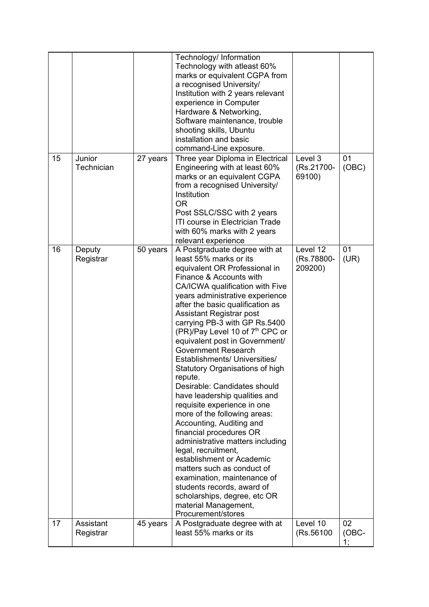|    |                        |          | Technology/ Information<br>Technology with atleast 60%<br>marks or equivalent CGPA from<br>a recognised University/<br>Institution with 2 years relevant<br>experience in Computer<br>Hardware & Networking,<br>Software maintenance, trouble<br>shooting skills, Ubuntu<br>installation and basic<br>command-Line exposure.                                                                                                                                                                                                                                                                                                                                                                                                                                                                                                                                                                                                                     |                                   |                   |
|----|------------------------|----------|--------------------------------------------------------------------------------------------------------------------------------------------------------------------------------------------------------------------------------------------------------------------------------------------------------------------------------------------------------------------------------------------------------------------------------------------------------------------------------------------------------------------------------------------------------------------------------------------------------------------------------------------------------------------------------------------------------------------------------------------------------------------------------------------------------------------------------------------------------------------------------------------------------------------------------------------------|-----------------------------------|-------------------|
| 15 | Junior<br>Technician   | 27 years | Three year Diploma in Electrical<br>Engineering with at least 60%<br>marks or an equivalent CGPA<br>from a recognised University/<br>Institution<br><b>OR</b><br>Post SSLC/SSC with 2 years<br>ITI course in Electrician Trade<br>with 60% marks with 2 years<br>relevant experience                                                                                                                                                                                                                                                                                                                                                                                                                                                                                                                                                                                                                                                             | Level 3<br>(Rs.21700-<br>69100)   | 01<br>(OBC)       |
| 16 | Deputy<br>Registrar    | 50 years | A Postgraduate degree with at<br>least 55% marks or its<br>equivalent OR Professional in<br>Finance & Accounts with<br>CA/ICWA qualification with Five<br>years administrative experience<br>after the basic qualification as<br>Assistant Registrar post<br>carrying PB-3 with GP Rs.5400<br>(PR)/Pay Level 10 of 7 <sup>th</sup> CPC or<br>equivalent post in Government/<br><b>Government Research</b><br>Establishments/ Universities/<br>Statutory Organisations of high<br>repute.<br>Desirable: Candidates should<br>have leadership qualities and<br>requisite experience in one<br>more of the following areas:<br>Accounting, Auditing and<br>financial procedures OR<br>administrative matters including<br>legal, recruitment,<br>establishment or Academic<br>matters such as conduct of<br>examination, maintenance of<br>students records, award of<br>scholarships, degree, etc OR<br>material Management,<br>Procurement/stores | Level 12<br>(Rs.78800-<br>209200) | 01<br>(UR)        |
| 17 | Assistant<br>Registrar | 45 years | A Postgraduate degree with at<br>least 55% marks or its                                                                                                                                                                                                                                                                                                                                                                                                                                                                                                                                                                                                                                                                                                                                                                                                                                                                                          | Level 10<br>(Rs.56100)            | 02<br>(OBC-<br>1; |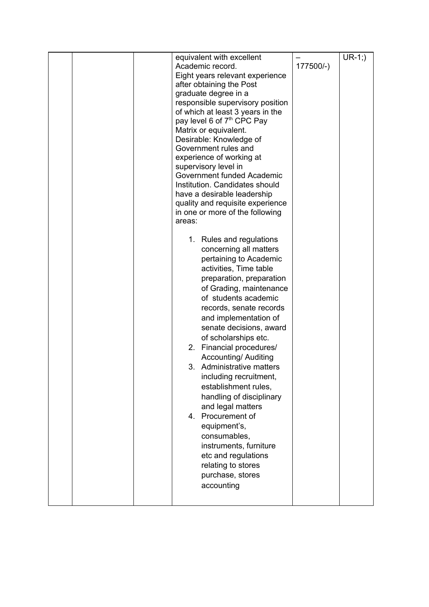|  | areas: | equivalent with excellent<br>Academic record.<br>Eight years relevant experience<br>after obtaining the Post<br>graduate degree in a<br>responsible supervisory position<br>of which at least 3 years in the<br>pay level 6 of 7 <sup>th</sup> CPC Pay<br>Matrix or equivalent.<br>Desirable: Knowledge of<br>Government rules and<br>experience of working at<br>supervisory level in<br>Government funded Academic<br>Institution. Candidates should<br>have a desirable leadership<br>quality and requisite experience<br>in one or more of the following<br>1. Rules and regulations                                  | 177500/-) | $UR-1$ ;) |
|--|--------|---------------------------------------------------------------------------------------------------------------------------------------------------------------------------------------------------------------------------------------------------------------------------------------------------------------------------------------------------------------------------------------------------------------------------------------------------------------------------------------------------------------------------------------------------------------------------------------------------------------------------|-----------|-----------|
|  |        | concerning all matters<br>pertaining to Academic<br>activities, Time table<br>preparation, preparation<br>of Grading, maintenance<br>of students academic<br>records, senate records<br>and implementation of<br>senate decisions, award<br>of scholarships etc.<br>2. Financial procedures/<br><b>Accounting/ Auditing</b><br>3. Administrative matters<br>including recruitment,<br>establishment rules,<br>handling of disciplinary<br>and legal matters<br>4. Procurement of<br>equipment's,<br>consumables,<br>instruments, furniture<br>etc and regulations<br>relating to stores<br>purchase, stores<br>accounting |           |           |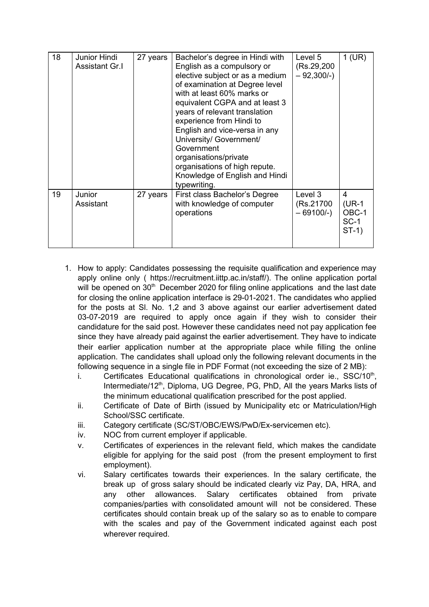| 18 | Junior Hindi<br><b>Assistant Gr.I</b> | 27 years | Bachelor's degree in Hindi with<br>English as a compulsory or<br>elective subject or as a medium<br>of examination at Degree level<br>with at least 60% marks or<br>equivalent CGPA and at least 3<br>years of relevant translation<br>experience from Hindi to<br>English and vice-versa in any<br>University/ Government/<br>Government<br>organisations/private<br>organisations of high repute.<br>Knowledge of English and Hindi<br>typewriting. | Level 5<br>(Rs.29,200)<br>$-92,300/-$ | 1 (UR)                                      |
|----|---------------------------------------|----------|-------------------------------------------------------------------------------------------------------------------------------------------------------------------------------------------------------------------------------------------------------------------------------------------------------------------------------------------------------------------------------------------------------------------------------------------------------|---------------------------------------|---------------------------------------------|
| 19 | Junior<br>Assistant                   | 27 years | First class Bachelor's Degree<br>with knowledge of computer<br>operations                                                                                                                                                                                                                                                                                                                                                                             | Level 3<br>(Rs.21700)<br>$-69100/-$   | 4<br>$(UR-1)$<br>OBC-1<br>$SC-1$<br>$ST-1)$ |

- 1. How to apply: Candidates possessing the requisite qualification and experience may apply online only ( https://recruitment.iittp.ac.in/staff/). The online application portal will be opened on 30<sup>th</sup> December 2020 for filing online applications and the last date for closing the online application interface is 29-01-2021. The candidates who applied for the posts at Sl. No. 1,2 and 3 above against our earlier advertisement dated 03-07-2019 are required to apply once again if they wish to consider their candidature for the said post. However these candidates need not pay application fee since they have already paid against the earlier advertisement. They have to indicate their earlier application number at the appropriate place while filling the online application. The candidates shall upload only the following relevant documents in the following sequence in a single file in PDF Format (not exceeding the size of 2 MB):
	- i. Certificates Educational qualifications in chronological order ie., SSC/10<sup>th</sup>, Intermediate/12<sup>th</sup>, Diploma, UG Degree, PG, PhD, All the years Marks lists of the minimum educational qualification prescribed for the post applied.
	- ii. Certificate of Date of Birth (issued by Municipality etc or Matriculation/High School/SSC certificate.
	- iii. Category certificate (SC/ST/OBC/EWS/PwD/Ex-servicemen etc).
	- iv. NOC from current employer if applicable.
	- v. Certificates of experiences in the relevant field, which makes the candidate eligible for applying for the said post (from the present employment to first employment).
	- vi. Salary certificates towards their experiences. In the salary certificate, the break up of gross salary should be indicated clearly viz Pay, DA, HRA, and any other allowances. Salary certificates obtained from private companies/parties with consolidated amount will not be considered. These certificates should contain break up of the salary so as to enable to compare with the scales and pay of the Government indicated against each post wherever required.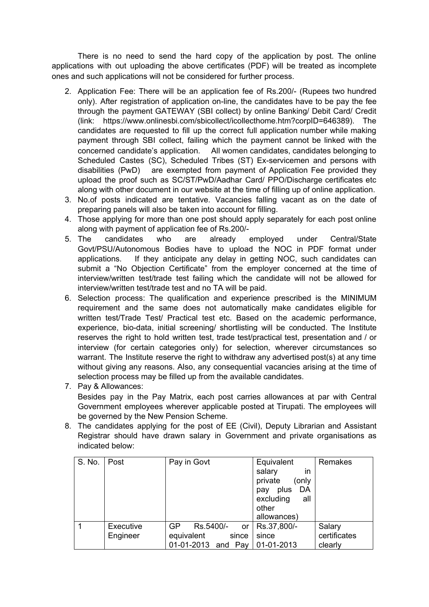There is no need to send the hard copy of the application by post. The online applications with out uploading the above certificates (PDF) will be treated as incomplete ones and such applications will not be considered for further process.

- 2. Application Fee: There will be an application fee of Rs.200/- (Rupees two hundred only). After registration of application on-line, the candidates have to be pay the fee through the payment GATEWAY (SBI collect) by online Banking/ Debit Card/ Credit (link: https://www.onlinesbi.com/sbicollect/icollecthome.htm?corpID=646389). The candidates are requested to fill up the correct full application number while making payment through SBI collect, failing which the payment cannot be linked with the concerned candidate's application. All women candidates, candidates belonging to Scheduled Castes (SC), Scheduled Tribes (ST) Ex-servicemen and persons with disabilities (PwD) are exempted from payment of Application Fee provided they upload the proof such as SC/ST/PwD/Aadhar Card/ PPO/Discharge certificates etc along with other document in our website at the time of filling up of online application.
- 3. No.of posts indicated are tentative. Vacancies falling vacant as on the date of preparing panels will also be taken into account for filling.
- 4. Those applying for more than one post should apply separately for each post online along with payment of application fee of Rs.200/-
- 5. The candidates who are already employed under Central/State Govt/PSU/Autonomous Bodies have to upload the NOC in PDF format under applications. If they anticipate any delay in getting NOC, such candidates can submit a "No Objection Certificate" from the employer concerned at the time of interview/written test/trade test failing which the candidate will not be allowed for interview/written test/trade test and no TA will be paid.
- 6. Selection process: The qualification and experience prescribed is the MINIMUM requirement and the same does not automatically make candidates eligible for written test/Trade Test/ Practical test etc. Based on the academic performance, experience, bio-data, initial screening/ shortlisting will be conducted. The Institute reserves the right to hold written test, trade test/practical test, presentation and / or interview (for certain categories only) for selection, wherever circumstances so warrant. The Institute reserve the right to withdraw any advertised post(s) at any time without giving any reasons. Also, any consequential vacancies arising at the time of selection process may be filled up from the available candidates.
- 7. Pay & Allowances: Besides pay in the Pay Matrix, each post carries allowances at par with Central Government employees wherever applicable posted at Tirupati. The employees will be governed by the New Pension Scheme.
- 8. The candidates applying for the post of EE (Civil), Deputy Librarian and Assistant Registrar should have drawn salary in Government and private organisations as indicated below:

| S. No. | Post                  | Pay in Govt                                                                            | Equivalent<br>salary<br><i>in</i><br>private<br>(only<br>plus<br>DA<br>pay<br>excluding<br>all<br>other<br>allowances) | Remakes                           |
|--------|-----------------------|----------------------------------------------------------------------------------------|------------------------------------------------------------------------------------------------------------------------|-----------------------------------|
|        | Executive<br>Engineer | GP<br>Rs.5400/-<br><b>or</b><br>equivalent<br>since<br>01-01-2013 and Pay   01-01-2013 | Rs.37,800/-<br>since                                                                                                   | Salary<br>certificates<br>clearly |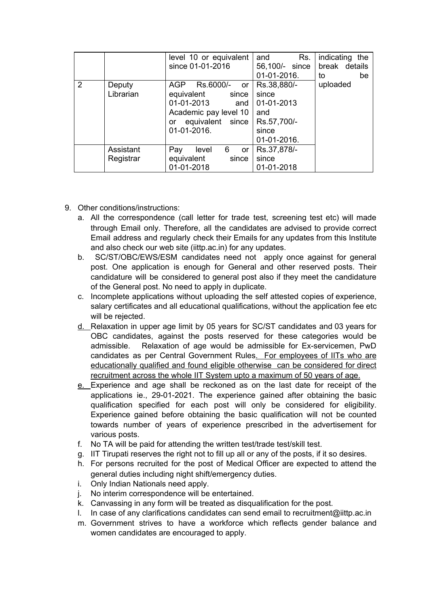|   |                        | level 10 or equivalent<br>since 01-01-2016                                                                                        | Rs.<br>and<br>56,100/- since<br>01-01-2016.                                      | indicating the<br>break details<br>to<br>be |
|---|------------------------|-----------------------------------------------------------------------------------------------------------------------------------|----------------------------------------------------------------------------------|---------------------------------------------|
| 2 | Deputy<br>Librarian    | Rs.6000/-<br>AGP<br>or<br>equivalent<br>since<br>01-01-2013<br>and<br>Academic pay level 10<br>or equivalent since<br>01-01-2016. | Rs.38,880/-<br>since<br>01-01-2013<br>and<br>Rs.57,700/-<br>since<br>01-01-2016. | uploaded                                    |
|   | Assistant<br>Registrar | Pay<br>6.<br>level<br>or<br>equivalent<br>since<br>01-01-2018                                                                     | Rs.37,878/-<br>since<br>01-01-2018                                               |                                             |

- 9. Other conditions/instructions:
	- a. All the correspondence (call letter for trade test, screening test etc) will made through Email only. Therefore, all the candidates are advised to provide correct Email address and regularly check their Emails for any updates from this Institute and also check our web site (iittp.ac.in) for any updates.
	- b. SC/ST/OBC/EWS/ESM candidates need not apply once against for general post. One application is enough for General and other reserved posts. Their candidature will be considered to general post also if they meet the candidature of the General post. No need to apply in duplicate.
	- c. Incomplete applications without uploading the self attested copies of experience, salary certificates and all educational qualifications, without the application fee etc will be rejected.
	- d. Relaxation in upper age limit by 05 years for SC/ST candidates and 03 years for OBC candidates, against the posts reserved for these categories would be admissible. Relaxation of age would be admissible for Ex-servicemen, PwD candidates as per Central Government Rules. For employees of IITs who are educationally qualified and found eligible otherwise can be considered for direct recruitment across the whole IIT System upto a maximum of 50 years of age.
	- e. Experience and age shall be reckoned as on the last date for receipt of the applications ie., 29-01-2021. The experience gained after obtaining the basic qualification specified for each post will only be considered for eligibility. Experience gained before obtaining the basic qualification will not be counted towards number of years of experience prescribed in the advertisement for various posts.
	- f. No TA will be paid for attending the written test/trade test/skill test.
	- g. IIT Tirupati reserves the right not to fill up all or any of the posts, if it so desires.
	- h. For persons recruited for the post of Medical Officer are expected to attend the general duties including night shift/emergency duties.
	- i. Only Indian Nationals need apply.
	- j. No interim correspondence will be entertained.
	- k. Canvassing in any form will be treated as disqualification for the post.
	- l. In case of any clarifications candidates can send email to recruitment@iittp.ac.in
	- m. Government strives to have a workforce which reflects gender balance and women candidates are encouraged to apply.